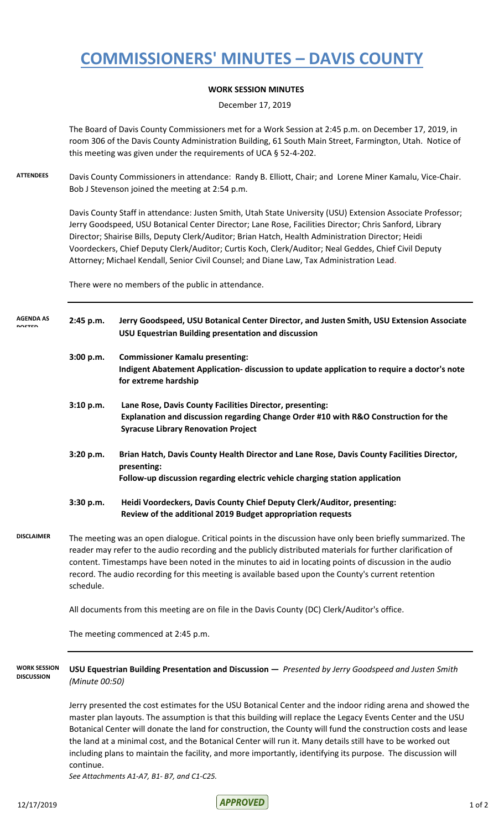## **COMMISSIONERS' MINUTES – DAVIS COUNTY**

## **WORK SESSION MINUTES**

December 17, 2019

The Board of Davis County Commissioners met for a Work Session at 2:45 p.m. on December 17, 2019, in room 306 of the Davis County Administration Building, 61 South Main Street, Farmington, Utah. Notice of this meeting was given under the requirements of UCA § 52-4-202.

**ATTENDEES** Davis County Commissioners in attendance: Randy B. Elliott, Chair; and Lorene Miner Kamalu, Vice-Chair. Bob J Stevenson joined the meeting at 2:54 p.m.

> Davis County Staff in attendance: Justen Smith, Utah State University (USU) Extension Associate Professor; Jerry Goodspeed, USU Botanical Center Director; Lane Rose, Facilities Director; Chris Sanford, Library Director; Shairise Bills, Deputy Clerk/Auditor; Brian Hatch, Health Administration Director; Heidi Voordeckers, Chief Deputy Clerk/Auditor; Curtis Koch, Clerk/Auditor; Neal Geddes, Chief Civil Deputy Attorney; Michael Kendall, Senior Civil Counsel; and Diane Law, Tax Administration Lead.

There were no members of the public in attendance.

| <b>AGENDA AS</b>  | 2:45 p.m.                                                                                                                                                                                                                                                                                                                                                                                                                                                | Jerry Goodspeed, USU Botanical Center Director, and Justen Smith, USU Extension Associate<br>USU Equestrian Building presentation and discussion                                              |
|-------------------|----------------------------------------------------------------------------------------------------------------------------------------------------------------------------------------------------------------------------------------------------------------------------------------------------------------------------------------------------------------------------------------------------------------------------------------------------------|-----------------------------------------------------------------------------------------------------------------------------------------------------------------------------------------------|
|                   | 3:00 p.m.                                                                                                                                                                                                                                                                                                                                                                                                                                                | <b>Commissioner Kamalu presenting:</b><br>Indigent Abatement Application- discussion to update application to require a doctor's note<br>for extreme hardship                                 |
|                   | 3:10 p.m.                                                                                                                                                                                                                                                                                                                                                                                                                                                | Lane Rose, Davis County Facilities Director, presenting:<br>Explanation and discussion regarding Change Order #10 with R&O Construction for the<br><b>Syracuse Library Renovation Project</b> |
|                   | 3:20 p.m.                                                                                                                                                                                                                                                                                                                                                                                                                                                | Brian Hatch, Davis County Health Director and Lane Rose, Davis County Facilities Director,<br>presenting:<br>Follow-up discussion regarding electric vehicle charging station application     |
|                   | 3:30 p.m.                                                                                                                                                                                                                                                                                                                                                                                                                                                | Heidi Voordeckers, Davis County Chief Deputy Clerk/Auditor, presenting:<br>Review of the additional 2019 Budget appropriation requests                                                        |
| <b>DISCLAIMER</b> | The meeting was an open dialogue. Critical points in the discussion have only been briefly summarized. The<br>reader may refer to the audio recording and the publicly distributed materials for further clarification of<br>content. Timestamps have been noted in the minutes to aid in locating points of discussion in the audio<br>record. The audio recording for this meeting is available based upon the County's current retention<br>schedule. |                                                                                                                                                                                               |
|                   | All documents from this meeting are on file in the Davis County (DC) Clerk/Auditor's office.                                                                                                                                                                                                                                                                                                                                                             |                                                                                                                                                                                               |
|                   | The meeting commenced at 2:45 p.m.                                                                                                                                                                                                                                                                                                                                                                                                                       |                                                                                                                                                                                               |

**USU Equestrian Building Presentation and Discussion —** *Presented by Jerry Goodspeed and Justen Smith (Minute 00:50)* **WORK SESSION DISCUSSION**

> Jerry presented the cost estimates for the USU Botanical Center and the indoor riding arena and showed the master plan layouts. The assumption is that this building will replace the Legacy Events Center and the USU Botanical Center will donate the land for construction, the County will fund the construction costs and lease the land at a minimal cost, and the Botanical Center will run it. Many details still have to be worked out including plans to maintain the facility, and more importantly, identifying its purpose. The discussion will continue.

*See Attachments A1-A7, B1- B7, and C1-C25.*

 $AP$  FOVED 12/17/2019 1 of 2